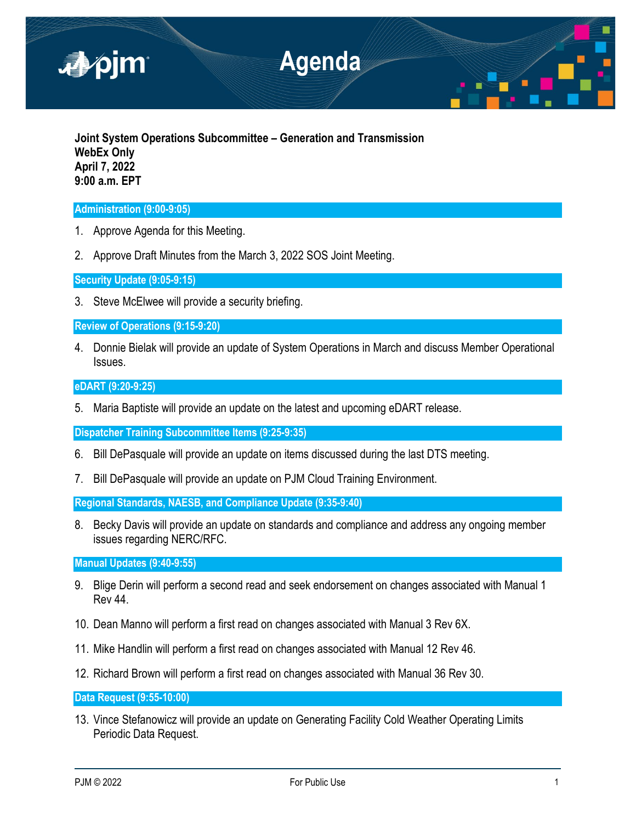

**Joint System Operations Subcommittee – Generation and Transmission WebEx Only April 7, 2022 9:00 a.m. EPT**

# **Administration (9:00-9:05)**

- 1. Approve Agenda for this Meeting.
- 2. Approve Draft Minutes from the March 3, 2022 SOS Joint Meeting.

**Security Update (9:05-9:15)**

3. Steve McElwee will provide a security briefing.

**Review of Operations (9:15-9:20)**

4. Donnie Bielak will provide an update of System Operations in March and discuss Member Operational Issues.

## **eDART (9:20-9:25)**

5. Maria Baptiste will provide an update on the latest and upcoming eDART release.

**Dispatcher Training Subcommittee Items (9:25-9:35)** 

- 6. Bill DePasquale will provide an update on items discussed during the last DTS meeting.
- 7. Bill DePasquale will provide an update on PJM Cloud Training Environment.

**Regional Standards, NAESB, and Compliance Update (9:35-9:40)** 

8. Becky Davis will provide an update on standards and compliance and address any ongoing member issues regarding NERC/RFC.

**Manual Updates (9:40-9:55)** 

- 9. Blige Derin will perform a second read and seek endorsement on changes associated with Manual 1 Rev 44.
- 10. Dean Manno will perform a first read on changes associated with Manual 3 Rev 6X.
- 11. Mike Handlin will perform a first read on changes associated with Manual 12 Rev 46.
- 12. Richard Brown will perform a first read on changes associated with Manual 36 Rev 30.

**Data Request (9:55-10:00)** 

13. Vince Stefanowicz will provide an update on Generating Facility Cold Weather Operating Limits Periodic Data Request.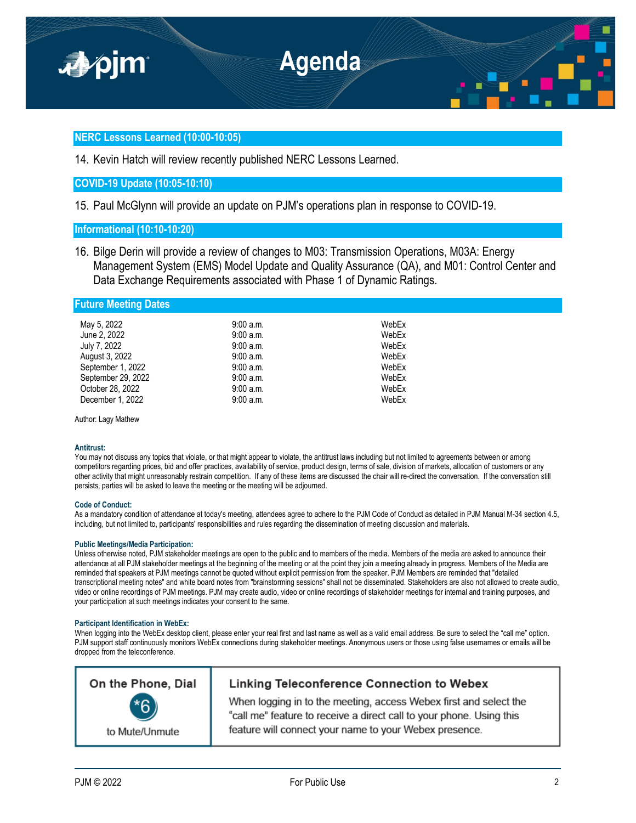

## **NERC Lessons Learned (10:00-10:05)**

14. Kevin Hatch will review recently published NERC Lessons Learned.

## **COVID-19 Update (10:05-10:10)**

15. Paul McGlynn will provide an update on PJM's operations plan in response to COVID-19.

## **Informational (10:10-10:20)**

16. Bilge Derin will provide a review of changes to M03: Transmission Operations, M03A: Energy Management System (EMS) Model Update and Quality Assurance (QA), and M01: Control Center and Data Exchange Requirements associated with Phase 1 of Dynamic Ratings.

### **Future Meeting Dates**

| May 5, 2022        | 9:00a.m.  | WebEx |
|--------------------|-----------|-------|
| June 2, 2022       | 9:00 a.m. | WebEx |
| July 7, 2022       | 9:00a.m.  | WebEx |
| August 3, 2022     | 9:00a.m.  | WebEx |
| September 1, 2022  | 9:00a.m.  | WebEx |
| September 29, 2022 | 9:00a.m.  | WebEx |
| October 28, 2022   | 9:00a.m.  | WebEx |
| December 1, 2022   | 9:00a.m.  | WebEx |

Author: Lagy Mathew

### **Antitrust:**

You may not discuss any topics that violate, or that might appear to violate, the antitrust laws including but not limited to agreements between or among competitors regarding prices, bid and offer practices, availability of service, product design, terms of sale, division of markets, allocation of customers or any other activity that might unreasonably restrain competition. If any of these items are discussed the chair will re-direct the conversation. If the conversation still persists, parties will be asked to leave the meeting or the meeting will be adjourned.

### **Code of Conduct:**

As a mandatory condition of attendance at today's meeting, attendees agree to adhere to the PJM Code of Conduct as detailed in PJM Manual M-34 section 4.5, including, but not limited to, participants' responsibilities and rules regarding the dissemination of meeting discussion and materials.

### **Public Meetings/Media Participation:**

Unless otherwise noted, PJM stakeholder meetings are open to the public and to members of the media. Members of the media are asked to announce their attendance at all PJM stakeholder meetings at the beginning of the meeting or at the point they join a meeting already in progress. Members of the Media are reminded that speakers at PJM meetings cannot be quoted without explicit permission from the speaker. PJM Members are reminded that "detailed transcriptional meeting notes" and white board notes from "brainstorming sessions" shall not be disseminated. Stakeholders are also not allowed to create audio, video or online recordings of PJM meetings. PJM may create audio, video or online recordings of stakeholder meetings for internal and training purposes, and your participation at such meetings indicates your consent to the same.

#### **Participant Identification in WebEx:**

When logging into the WebEx desktop client, please enter your real first and last name as well as a valid email address. Be sure to select the "call me" option. PJM support staff continuously monitors WebEx connections during stakeholder meetings. Anonymous users or those using false usernames or emails will be dropped from the teleconference.